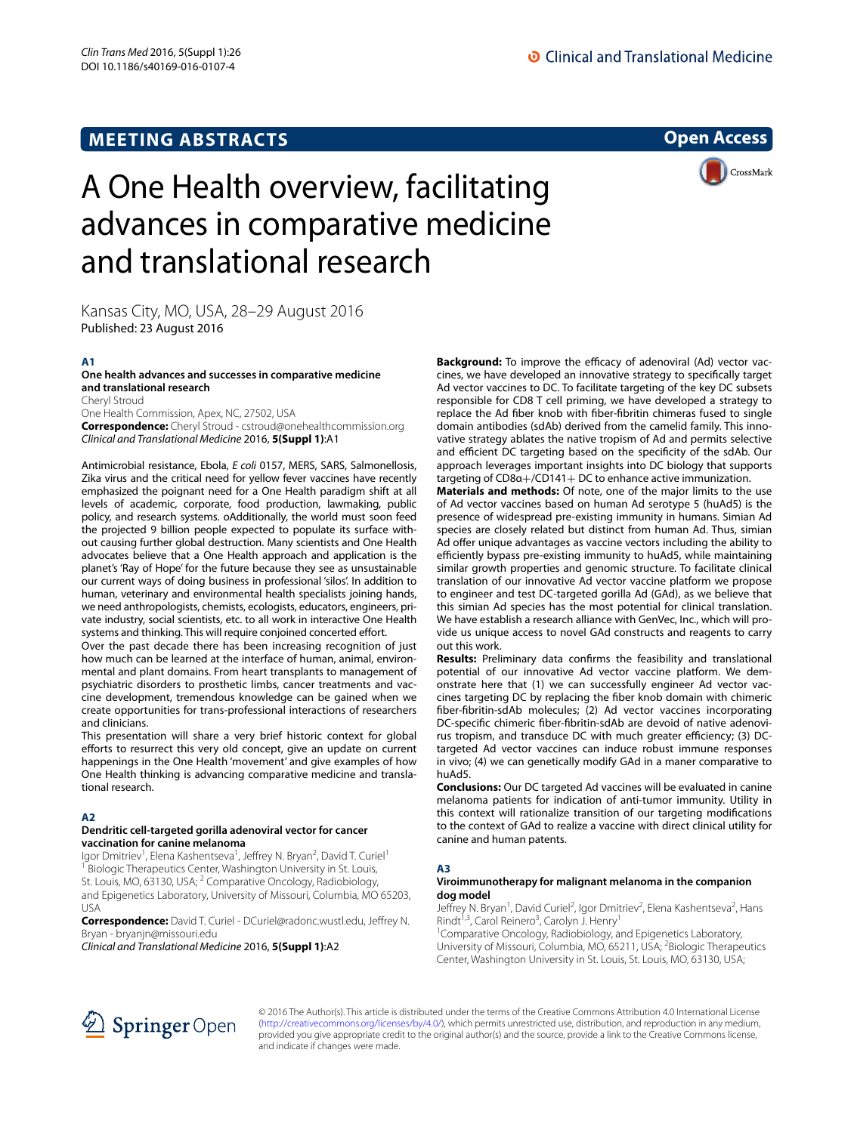**MEETING ABSTRACTS**

# **Open Access**

CrossMark

# A One Health overview, facilitating advances in comparative medicine and translational research

Kansas City, MO, USA, 28–29 August 2016

Published: 23 August 2016

# **A1**

# **One health advances and successes in comparative medicine and translational research**

Cheryl Stroud One Health Commission, Apex, NC, 27502, USA **Correspondence:** Cheryl Stroud ‑ cstroud@onehealthcommission.org *Clinical and Translational Medicine* 2016, **5(Suppl 1)**:A1

Antimicrobial resistance, Ebola, *E coli* 0157, MERS, SARS, Salmonellosis, Zika virus and the critical need for yellow fever vaccines have recently emphasized the poignant need for a One Health paradigm shift at all levels of academic, corporate, food production, lawmaking, public policy, and research systems. oAdditionally, the world must soon feed the projected 9 billion people expected to populate its surface without causing further global destruction. Many scientists and One Health advocates believe that a One Health approach and application is the planet's 'Ray of Hope' for the future because they see as unsustainable our current ways of doing business in professional 'silos'. In addition to human, veterinary and environmental health specialists joining hands, we need anthropologists, chemists, ecologists, educators, engineers, private industry, social scientists, etc. to all work in interactive One Health systems and thinking. This will require conjoined concerted effort.

Over the past decade there has been increasing recognition of just how much can be learned at the interface of human, animal, environmental and plant domains. From heart transplants to management of psychiatric disorders to prosthetic limbs, cancer treatments and vaccine development, tremendous knowledge can be gained when we create opportunities for trans-professional interactions of researchers and clinicians.

This presentation will share a very brief historic context for global efforts to resurrect this very old concept, give an update on current happenings in the One Health 'movement' and give examples of how One Health thinking is advancing comparative medicine and translational research.

# **A2**

## **Dendritic cell‑targeted gorilla adenoviral vector for cancer vaccination for canine melanoma**

Igor Dmitriev<sup>1</sup>, Elena Kashentseva<sup>1</sup>, Jeffrey N. Bryan<sup>2</sup>, David T. Curiel<sup>1</sup> <sup>1</sup> Biologic Therapeutics Center, Washington University in St. Louis, St. Louis, MO, 63130, USA; <sup>2</sup> Comparative Oncology, Radiobiology, and Epigenetics Laboratory, University of Missouri, Columbia, MO 65203, USA

**Correspondence:** David T. Curiel ‑ DCuriel@radonc.wustl.edu, Jeffrey N. Bryan ‑ bryanjn@missouri.edu

*Clinical and Translational Medicine* 2016, **5(Suppl 1)**:A2

**Background:** To improve the efficacy of adenoviral (Ad) vector vaccines, we have developed an innovative strategy to specifically target Ad vector vaccines to DC. To facilitate targeting of the key DC subsets responsible for CD8 T cell priming, we have developed a strategy to replace the Ad fiber knob with fiber-fibritin chimeras fused to single domain antibodies (sdAb) derived from the camelid family. This innovative strategy ablates the native tropism of Ad and permits selective and efficient DC targeting based on the specificity of the sdAb. Our approach leverages important insights into DC biology that supports targeting of CD8α+/CD141+ DC to enhance active immunization.

**Materials and methods:** Of note, one of the major limits to the use of Ad vector vaccines based on human Ad serotype 5 (huAd5) is the presence of widespread pre-existing immunity in humans. Simian Ad species are closely related but distinct from human Ad. Thus, simian Ad offer unique advantages as vaccine vectors including the ability to efficiently bypass pre-existing immunity to huAd5, while maintaining similar growth properties and genomic structure. To facilitate clinical translation of our innovative Ad vector vaccine platform we propose to engineer and test DC-targeted gorilla Ad (GAd), as we believe that this simian Ad species has the most potential for clinical translation. We have establish a research alliance with GenVec, Inc., which will provide us unique access to novel GAd constructs and reagents to carry out this work.

**Results:** Preliminary data confirms the feasibility and translational potential of our innovative Ad vector vaccine platform. We demonstrate here that (1) we can successfully engineer Ad vector vaccines targeting DC by replacing the fiber knob domain with chimeric fiber-fibritin-sdAb molecules; (2) Ad vector vaccines incorporating DC-specific chimeric fiber-fibritin-sdAb are devoid of native adenovirus tropism, and transduce DC with much greater efficiency; (3) DCtargeted Ad vector vaccines can induce robust immune responses in vivo; (4) we can genetically modify GAd in a maner comparative to huAd5.

**Conclusions:** Our DC targeted Ad vaccines will be evaluated in canine melanoma patients for indication of anti-tumor immunity. Utility in this context will rationalize transition of our targeting modifications to the context of GAd to realize a vaccine with direct clinical utility for canine and human patents.

# **A3**

# **Viroimmunotherapy for malignant melanoma in the companion dog model**

Jeffrey N. Bryan<sup>1</sup>, David Curiel<sup>2</sup>, Igor Dmitriev<sup>2</sup>, Elena Kashentseva<sup>2</sup>, Hans Rindt<sup>1,3</sup>, Carol Reinero<sup>3</sup>, Carolyn J. Henry<sup>1</sup>

<sup>1</sup> Comparative Oncology, Radiobiology, and Epigenetics Laboratory, University of Missouri, Columbia, MO, 65211, USA; <sup>2</sup>Biologic Therapeutics Center, Washington University in St. Louis, St. Louis, MO, 63130, USA;



© 2016 The Author(s). This article is distributed under the terms of the Creative Commons Attribution 4.0 International License [\(http://creativecommons.org/licenses/by/4.0/\)](http://creativecommons.org/licenses/by/4.0/), which permits unrestricted use, distribution, and reproduction in any medium, provided you give appropriate credit to the original author(s) and the source, provide a link to the Creative Commons license, and indicate if changes were made.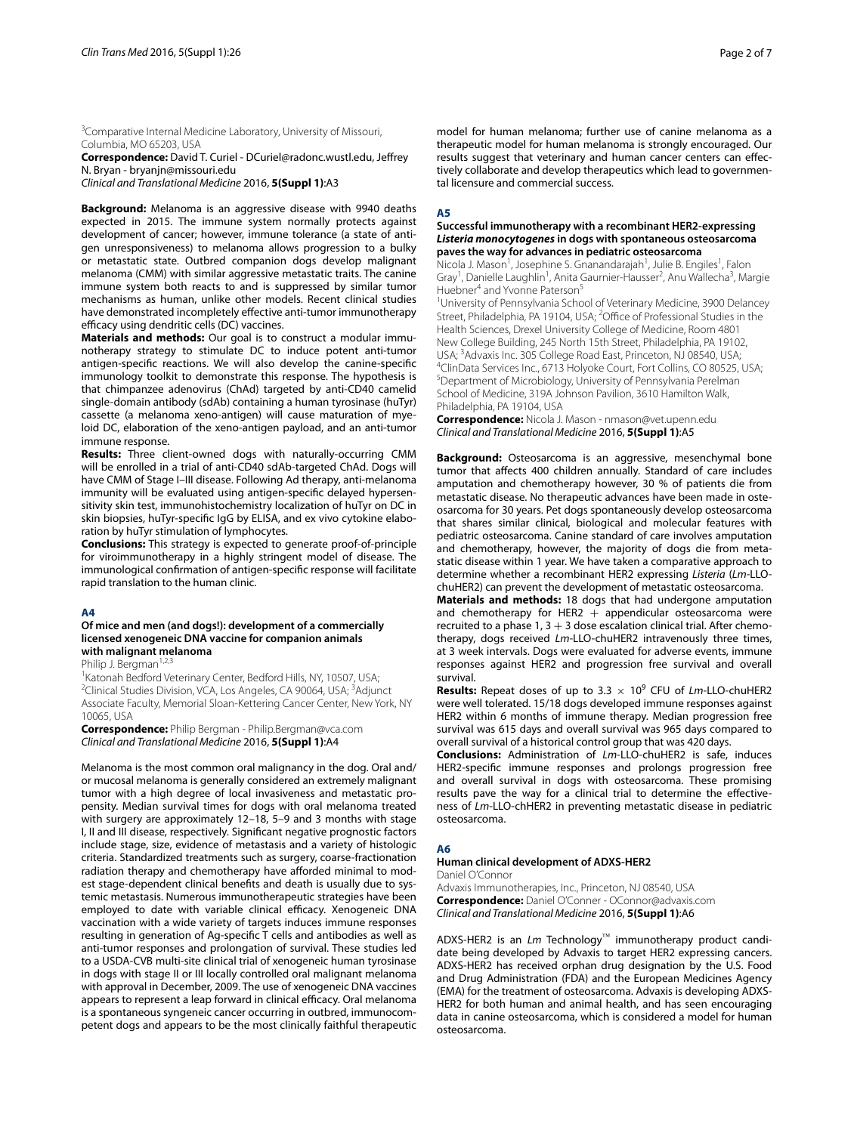<sup>3</sup> Comparative Internal Medicine Laboratory, University of Missouri, Columbia, MO 65203, USA

**Correspondence:** David T. Curiel - DCuriel@radonc.wustl.edu, Jeffrey N. Bryan - bryanjn@missouri.edu

*Clinical and Translational Medicine* 2016, **5(Suppl 1)**:A3

**Background:** Melanoma is an aggressive disease with 9940 deaths expected in 2015. The immune system normally protects against development of cancer; however, immune tolerance (a state of antigen unresponsiveness) to melanoma allows progression to a bulky or metastatic state. Outbred companion dogs develop malignant melanoma (CMM) with similar aggressive metastatic traits. The canine immune system both reacts to and is suppressed by similar tumor mechanisms as human, unlike other models. Recent clinical studies have demonstrated incompletely effective anti-tumor immunotherapy efficacy using dendritic cells (DC) vaccines.

**Materials and methods:** Our goal is to construct a modular immunotherapy strategy to stimulate DC to induce potent anti-tumor antigen-specific reactions. We will also develop the canine-specific immunology toolkit to demonstrate this response. The hypothesis is that chimpanzee adenovirus (ChAd) targeted by anti-CD40 camelid single-domain antibody (sdAb) containing a human tyrosinase (huTyr) cassette (a melanoma xeno-antigen) will cause maturation of myeloid DC, elaboration of the xeno-antigen payload, and an anti-tumor immune response.

**Results:** Three client-owned dogs with naturally-occurring CMM will be enrolled in a trial of anti-CD40 sdAb-targeted ChAd. Dogs will have CMM of Stage I–III disease. Following Ad therapy, anti-melanoma immunity will be evaluated using antigen-specific delayed hypersensitivity skin test, immunohistochemistry localization of huTyr on DC in skin biopsies, huTyr-specific IgG by ELISA, and ex vivo cytokine elaboration by huTyr stimulation of lymphocytes.

**Conclusions:** This strategy is expected to generate proof-of-principle for viroimmunotherapy in a highly stringent model of disease. The immunological confirmation of antigen-specific response will facilitate rapid translation to the human clinic.

# **A4**

## **Of mice and men (and dogs!): development of a commercially licensed xenogeneic DNA vaccine for companion animals with malignant melanoma**

Philip J. Bergman<sup>1,2,3</sup>

<sup>1</sup>Katonah Bedford Veterinary Center, Bedford Hills, NY, 10507, USA; <sup>2</sup>Clinical Studies Division, VCA, Los Angeles, CA 90064, USA; <sup>3</sup>Adjunct Associate Faculty, Memorial Sloan‑Kettering Cancer Center, New York, NY 10065, USA

**Correspondence:** Philip Bergman ‑ Philip.Bergman@vca.com *Clinical and Translational Medicine* 2016, **5(Suppl 1)**:A4

Melanoma is the most common oral malignancy in the dog. Oral and/ or mucosal melanoma is generally considered an extremely malignant tumor with a high degree of local invasiveness and metastatic propensity. Median survival times for dogs with oral melanoma treated with surgery are approximately 12–18, 5–9 and 3 months with stage I, II and III disease, respectively. Significant negative prognostic factors include stage, size, evidence of metastasis and a variety of histologic criteria. Standardized treatments such as surgery, coarse-fractionation radiation therapy and chemotherapy have afforded minimal to modest stage-dependent clinical benefits and death is usually due to systemic metastasis. Numerous immunotherapeutic strategies have been employed to date with variable clinical efficacy. Xenogeneic DNA vaccination with a wide variety of targets induces immune responses resulting in generation of Ag-specific T cells and antibodies as well as anti-tumor responses and prolongation of survival. These studies led to a USDA-CVB multi-site clinical trial of xenogeneic human tyrosinase in dogs with stage II or III locally controlled oral malignant melanoma with approval in December, 2009. The use of xenogeneic DNA vaccines appears to represent a leap forward in clinical efficacy. Oral melanoma is a spontaneous syngeneic cancer occurring in outbred, immunocompetent dogs and appears to be the most clinically faithful therapeutic model for human melanoma; further use of canine melanoma as a therapeutic model for human melanoma is strongly encouraged. Our results suggest that veterinary and human cancer centers can effectively collaborate and develop therapeutics which lead to governmental licensure and commercial success.

### **A5**

## **Successful immunotherapy with a recombinant HER2‑expressing**  *Listeria monocytogenes* **in dogs with spontaneous osteosarcoma paves the way for advances in pediatric osteosarcoma**

Nicola J. Mason<sup>1</sup>, Josephine S. Gnanandarajah<sup>1</sup>, Julie B. Engiles<sup>1</sup>, Falon Gray<sup>1</sup>, Danielle Laughlin<sup>1</sup>, Anita Gaurnier-Hausser<sup>2</sup>, Anu Wallecha<sup>3</sup>, Margie Huebner<sup>4</sup> and Yvonne Paterson<sup>5</sup>

<sup>1</sup>University of Pennsylvania School of Veterinary Medicine, 3900 Delancey Street, Philadelphia, PA 19104, USA; <sup>2</sup>Office of Professional Studies in the Health Sciences, Drexel University College of Medicine, Room 4801 New College Building, 245 North 15th Street, Philadelphia, PA 19102, USA; 3 Advaxis Inc. 305 College Road East, Princeton, NJ 08540, USA; 4 <sup>4</sup>ClinData Services Inc., 6713 Holyoke Court, Fort Collins, CO 80525, USA; 5 Department of Microbiology, University of Pennsylvania Perelman School of Medicine, 319A Johnson Pavilion, 3610 Hamilton Walk, Philadelphia, PA 19104, USA

**Correspondence:** Nicola J. Mason ‑ nmason@vet.upenn.edu *Clinical and Translational Medicine* 2016, **5(Suppl 1)**:A5

**Background:** Osteosarcoma is an aggressive, mesenchymal bone tumor that affects 400 children annually. Standard of care includes amputation and chemotherapy however, 30 % of patients die from metastatic disease. No therapeutic advances have been made in osteosarcoma for 30 years. Pet dogs spontaneously develop osteosarcoma that shares similar clinical, biological and molecular features with pediatric osteosarcoma. Canine standard of care involves amputation and chemotherapy, however, the majority of dogs die from metastatic disease within 1 year. We have taken a comparative approach to determine whether a recombinant HER2 expressing *Listeria* (*Lm*-LLOchuHER2) can prevent the development of metastatic osteosarcoma.

**Materials and methods:** 18 dogs that had undergone amputation and chemotherapy for HER2  $+$  appendicular osteosarcoma were recruited to a phase  $1, 3 + 3$  dose escalation clinical trial. After chemotherapy, dogs received *Lm*-LLO-chuHER2 intravenously three times, at 3 week intervals. Dogs were evaluated for adverse events, immune responses against HER2 and progression free survival and overall survival.

**Results:** Repeat doses of up to  $3.3 \times 10^9$  CFU of *Lm*-LLO-chuHER2 were well tolerated. 15/18 dogs developed immune responses against HER2 within 6 months of immune therapy. Median progression free survival was 615 days and overall survival was 965 days compared to overall survival of a historical control group that was 420 days.

**Conclusions:** Administration of *Lm*-LLO-chuHER2 is safe, induces HER2-specific immune responses and prolongs progression free and overall survival in dogs with osteosarcoma. These promising results pave the way for a clinical trial to determine the effectiveness of *Lm*-LLO-chHER2 in preventing metastatic disease in pediatric osteosarcoma.

# **A6**

## **Human clinical development of ADXS‑HER2**

Daniel O'Connor

Advaxis Immunotherapies, Inc., Princeton, NJ 08540, USA **Correspondence:** Daniel O'Conner ‑ OConnor@advaxis.com *Clinical and Translational Medicine* 2016, **5(Suppl 1)**:A6

ADXS-HER2 is an *Lm* Technology™ immunotherapy product candidate being developed by Advaxis to target HER2 expressing cancers. ADXS-HER2 has received orphan drug designation by the U.S. Food and Drug Administration (FDA) and the European Medicines Agency (EMA) for the treatment of osteosarcoma. Advaxis is developing ADXS-HER2 for both human and animal health, and has seen encouraging data in canine osteosarcoma, which is considered a model for human osteosarcoma.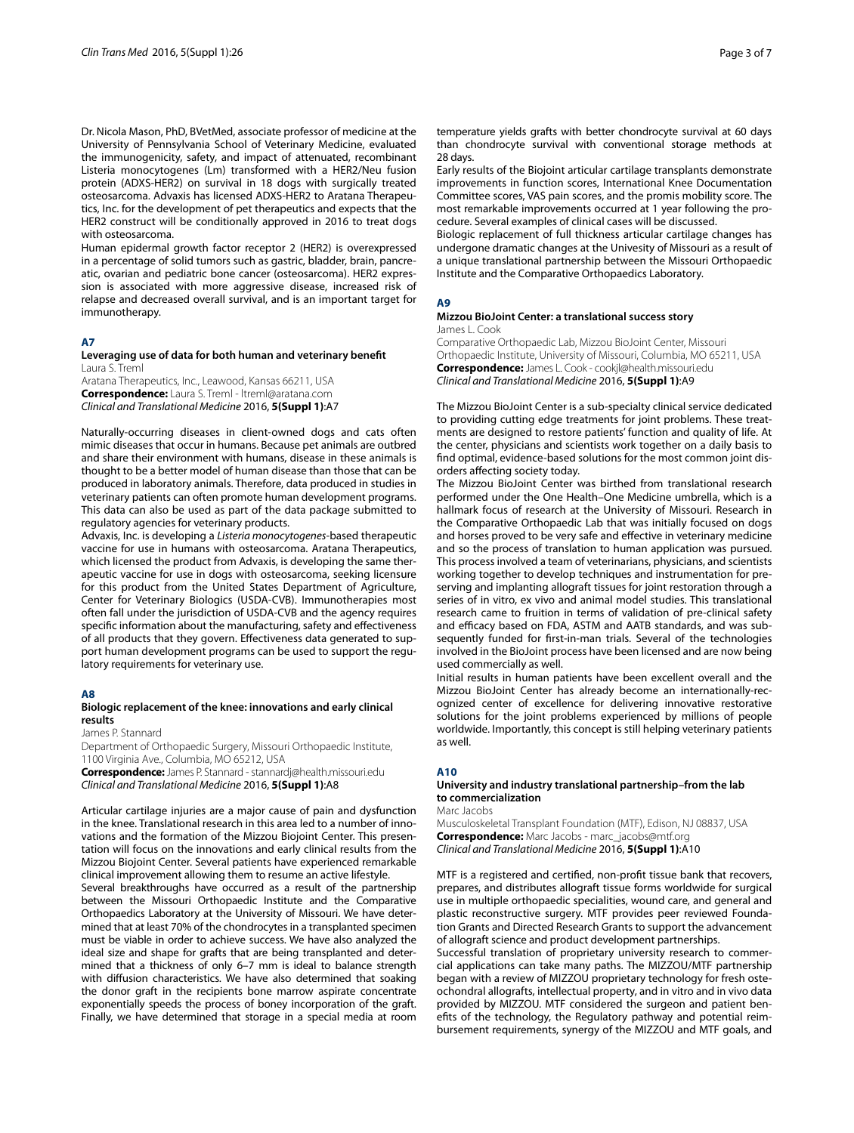Dr. Nicola Mason, PhD, BVetMed, associate professor of medicine at the University of Pennsylvania School of Veterinary Medicine, evaluated the immunogenicity, safety, and impact of attenuated, recombinant Listeria monocytogenes (Lm) transformed with a HER2/Neu fusion protein (ADXS-HER2) on survival in 18 dogs with surgically treated osteosarcoma. Advaxis has licensed ADXS-HER2 to Aratana Therapeutics, Inc. for the development of pet therapeutics and expects that the HER2 construct will be conditionally approved in 2016 to treat dogs with osteosarcoma.

Human epidermal growth factor receptor 2 (HER2) is overexpressed in a percentage of solid tumors such as gastric, bladder, brain, pancreatic, ovarian and pediatric bone cancer (osteosarcoma). HER2 expression is associated with more aggressive disease, increased risk of relapse and decreased overall survival, and is an important target for immunotherapy.

## **A7**

#### **Leveraging use of data for both human and veterinary benefit** Laura S. Treml

Aratana Therapeutics, Inc., Leawood, Kansas 66211, USA **Correspondence:** Laura S. Treml ‑ ltreml@aratana.com *Clinical and Translational Medicine* 2016, **5(Suppl 1)**:A7

Naturally-occurring diseases in client-owned dogs and cats often mimic diseases that occur in humans. Because pet animals are outbred and share their environment with humans, disease in these animals is thought to be a better model of human disease than those that can be produced in laboratory animals. Therefore, data produced in studies in veterinary patients can often promote human development programs. This data can also be used as part of the data package submitted to regulatory agencies for veterinary products.

Advaxis, Inc. is developing a *Listeria monocytogenes*-based therapeutic vaccine for use in humans with osteosarcoma. Aratana Therapeutics, which licensed the product from Advaxis, is developing the same therapeutic vaccine for use in dogs with osteosarcoma, seeking licensure for this product from the United States Department of Agriculture, Center for Veterinary Biologics (USDA-CVB). Immunotherapies most often fall under the jurisdiction of USDA-CVB and the agency requires specific information about the manufacturing, safety and effectiveness of all products that they govern. Effectiveness data generated to support human development programs can be used to support the regulatory requirements for veterinary use.

## **A8**

## **Biologic replacement of the knee: innovations and early clinical results**

James P. Stannard

Department of Orthopaedic Surgery, Missouri Orthopaedic Institute, 1100 Virginia Ave., Columbia, MO 65212, USA

**Correspondence:** James P. Stannard ‑ stannardj@health.missouri.edu *Clinical and Translational Medicine* 2016, **5(Suppl 1)**:A8

Articular cartilage injuries are a major cause of pain and dysfunction in the knee. Translational research in this area led to a number of innovations and the formation of the Mizzou Biojoint Center. This presentation will focus on the innovations and early clinical results from the Mizzou Biojoint Center. Several patients have experienced remarkable clinical improvement allowing them to resume an active lifestyle.

Several breakthroughs have occurred as a result of the partnership between the Missouri Orthopaedic Institute and the Comparative Orthopaedics Laboratory at the University of Missouri. We have determined that at least 70% of the chondrocytes in a transplanted specimen must be viable in order to achieve success. We have also analyzed the ideal size and shape for grafts that are being transplanted and determined that a thickness of only 6–7 mm is ideal to balance strength with diffusion characteristics. We have also determined that soaking the donor graft in the recipients bone marrow aspirate concentrate exponentially speeds the process of boney incorporation of the graft. Finally, we have determined that storage in a special media at room temperature yields grafts with better chondrocyte survival at 60 days than chondrocyte survival with conventional storage methods at 28 days.

Early results of the Biojoint articular cartilage transplants demonstrate improvements in function scores, International Knee Documentation Committee scores, VAS pain scores, and the promis mobility score. The most remarkable improvements occurred at 1 year following the procedure. Several examples of clinical cases will be discussed.

Biologic replacement of full thickness articular cartilage changes has undergone dramatic changes at the Univesity of Missouri as a result of a unique translational partnership between the Missouri Orthopaedic Institute and the Comparative Orthopaedics Laboratory.

## **A9**

#### **Mizzou BioJoint Center: a translational success story** James L. Cook

Comparative Orthopaedic Lab, Mizzou BioJoint Center, Missouri Orthopaedic Institute, University of Missouri, Columbia, MO 65211, USA **Correspondence:** James L. Cook ‑ cookjl@health.missouri.edu *Clinical and Translational Medicine* 2016, **5(Suppl 1)**:A9

The Mizzou BioJoint Center is a sub-specialty clinical service dedicated to providing cutting edge treatments for joint problems. These treatments are designed to restore patients' function and quality of life. At the center, physicians and scientists work together on a daily basis to find optimal, evidence-based solutions for the most common joint disorders affecting society today.

The Mizzou BioJoint Center was birthed from translational research performed under the One Health–One Medicine umbrella, which is a hallmark focus of research at the University of Missouri. Research in the Comparative Orthopaedic Lab that was initially focused on dogs and horses proved to be very safe and effective in veterinary medicine and so the process of translation to human application was pursued. This process involved a team of veterinarians, physicians, and scientists working together to develop techniques and instrumentation for preserving and implanting allograft tissues for joint restoration through a series of in vitro, ex vivo and animal model studies. This translational research came to fruition in terms of validation of pre-clinical safety and efficacy based on FDA, ASTM and AATB standards, and was subsequently funded for first-in-man trials. Several of the technologies involved in the BioJoint process have been licensed and are now being used commercially as well.

Initial results in human patients have been excellent overall and the Mizzou BioJoint Center has already become an internationally-recognized center of excellence for delivering innovative restorative solutions for the joint problems experienced by millions of people worldwide. Importantly, this concept is still helping veterinary patients as well.

## **A10**

# **University and industry translational partnership–from the lab to commercialization**

Marc Jacobs

Musculoskeletal Transplant Foundation (MTF), Edison, NJ 08837, USA **Correspondence:** Marc Jacobs ‑ marc\_jacobs@mtf.org *Clinical and Translational Medicine* 2016, **5(Suppl 1)**:A10

MTF is a registered and certified, non-profit tissue bank that recovers, prepares, and distributes allograft tissue forms worldwide for surgical use in multiple orthopaedic specialities, wound care, and general and plastic reconstructive surgery. MTF provides peer reviewed Foundation Grants and Directed Research Grants to support the advancement of allograft science and product development partnerships.

Successful translation of proprietary university research to commercial applications can take many paths. The MIZZOU/MTF partnership began with a review of MIZZOU proprietary technology for fresh osteochondral allografts, intellectual property, and in vitro and in vivo data provided by MIZZOU. MTF considered the surgeon and patient benefits of the technology, the Regulatory pathway and potential reimbursement requirements, synergy of the MIZZOU and MTF goals, and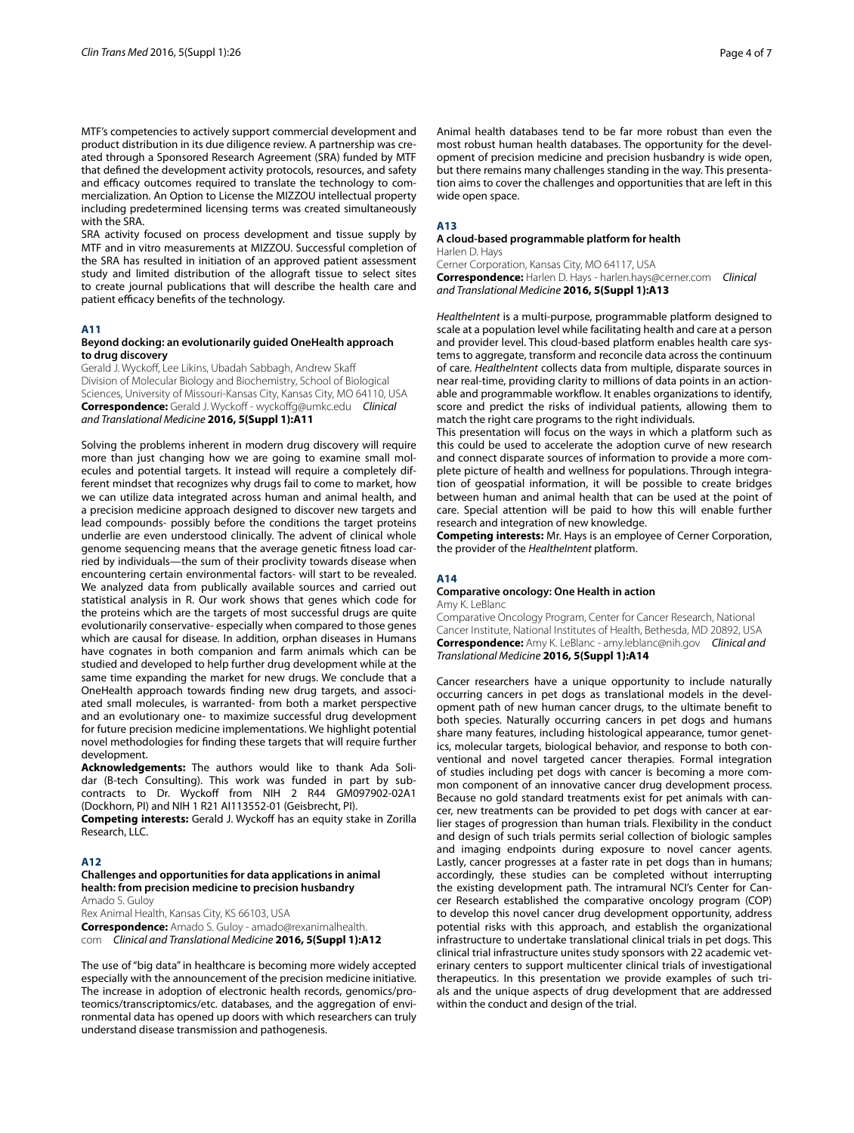MTF's competencies to actively support commercial development and product distribution in its due diligence review. A partnership was created through a Sponsored Research Agreement (SRA) funded by MTF that defined the development activity protocols, resources, and safety and efficacy outcomes required to translate the technology to commercialization. An Option to License the MIZZOU intellectual property including predetermined licensing terms was created simultaneously with the SRA

SRA activity focused on process development and tissue supply by MTF and in vitro measurements at MIZZOU. Successful completion of the SRA has resulted in initiation of an approved patient assessment study and limited distribution of the allograft tissue to select sites to create journal publications that will describe the health care and patient efficacy benefits of the technology.

# **A11**

## **Beyond docking: an evolutionarily guided OneHealth approach to drug discovery**

Gerald J. Wyckoff, Lee Likins, Ubadah Sabbagh, Andrew Skaff Division of Molecular Biology and Biochemistry, School of Biological Sciences, University of Missouri-Kansas City, Kansas City, MO 64110, USA **Correspondence:** Gerald J. Wyckoff ‑ wyckoffg@umkc.edu *Clinical and Translational Medicine* **2016, 5(Suppl 1):A11**

Solving the problems inherent in modern drug discovery will require more than just changing how we are going to examine small molecules and potential targets. It instead will require a completely different mindset that recognizes why drugs fail to come to market, how we can utilize data integrated across human and animal health, and a precision medicine approach designed to discover new targets and lead compounds- possibly before the conditions the target proteins underlie are even understood clinically. The advent of clinical whole genome sequencing means that the average genetic fitness load carried by individuals—the sum of their proclivity towards disease when encountering certain environmental factors- will start to be revealed. We analyzed data from publically available sources and carried out statistical analysis in R. Our work shows that genes which code for the proteins which are the targets of most successful drugs are quite evolutionarily conservative- especially when compared to those genes which are causal for disease. In addition, orphan diseases in Humans have cognates in both companion and farm animals which can be studied and developed to help further drug development while at the same time expanding the market for new drugs. We conclude that a OneHealth approach towards finding new drug targets, and associated small molecules, is warranted- from both a market perspective and an evolutionary one- to maximize successful drug development for future precision medicine implementations. We highlight potential novel methodologies for finding these targets that will require further development.

**Acknowledgements:** The authors would like to thank Ada Solidar (B-tech Consulting). This work was funded in part by subcontracts to Dr. Wyckoff from NIH 2 R44 GM097902-02A1 (Dockhorn, PI) and NIH 1 R21 AI113552-01 (Geisbrecht, PI).

**Competing interests:** Gerald J. Wyckoff has an equity stake in Zorilla Research, LLC.

# **A12**

# **Challenges and opportunities for data applications in animal health: from precision medicine to precision husbandry**

Amado S. Guloy

Rex Animal Health, Kansas City, KS 66103, USA **Correspondence:** Amado S. Guloy ‑ amado@rexanimalhealth.

com *Clinical and Translational Medicine* **2016, 5(Suppl 1):A12**

The use of "big data" in healthcare is becoming more widely accepted especially with the announcement of the precision medicine initiative. The increase in adoption of electronic health records, genomics/proteomics/transcriptomics/etc. databases, and the aggregation of environmental data has opened up doors with which researchers can truly understand disease transmission and pathogenesis.

Animal health databases tend to be far more robust than even the most robust human health databases. The opportunity for the development of precision medicine and precision husbandry is wide open, but there remains many challenges standing in the way. This presentation aims to cover the challenges and opportunities that are left in this wide open space.

# **A13**

## **A cloud‑based programmable platform for health** Harlen D. Hays

Cerner Corporation, Kansas City, MO 64117, USA **Correspondence:** Harlen D. Hays ‑ harlen.hays@cerner.com *Clinical and Translational Medicine* **2016, 5(Suppl 1):A13**

*HealtheIntent* is a multi-purpose, programmable platform designed to scale at a population level while facilitating health and care at a person and provider level. This cloud-based platform enables health care systems to aggregate, transform and reconcile data across the continuum of care. *HealtheIntent* collects data from multiple, disparate sources in near real-time, providing clarity to millions of data points in an actionable and programmable workflow. It enables organizations to identify, score and predict the risks of individual patients, allowing them to match the right care programs to the right individuals.

This presentation will focus on the ways in which a platform such as this could be used to accelerate the adoption curve of new research and connect disparate sources of information to provide a more complete picture of health and wellness for populations. Through integration of geospatial information, it will be possible to create bridges between human and animal health that can be used at the point of care. Special attention will be paid to how this will enable further research and integration of new knowledge.

**Competing interests:** Mr. Hays is an employee of Cerner Corporation, the provider of the *HealtheIntent* platform.

# **A14**

### **Comparative oncology: One Health in action** Amy K. LeBlanc

Comparative Oncology Program, Center for Cancer Research, National Cancer Institute, National Institutes of Health, Bethesda, MD 20892, USA **Correspondence:** Amy K. LeBlanc ‑ amy.leblanc@nih.gov *Clinical and Translational Medicine* **2016, 5(Suppl 1):A14**

Cancer researchers have a unique opportunity to include naturally occurring cancers in pet dogs as translational models in the development path of new human cancer drugs, to the ultimate benefit to both species. Naturally occurring cancers in pet dogs and humans share many features, including histological appearance, tumor genetics, molecular targets, biological behavior, and response to both conventional and novel targeted cancer therapies. Formal integration of studies including pet dogs with cancer is becoming a more common component of an innovative cancer drug development process. Because no gold standard treatments exist for pet animals with cancer, new treatments can be provided to pet dogs with cancer at earlier stages of progression than human trials. Flexibility in the conduct and design of such trials permits serial collection of biologic samples and imaging endpoints during exposure to novel cancer agents. Lastly, cancer progresses at a faster rate in pet dogs than in humans; accordingly, these studies can be completed without interrupting the existing development path. The intramural NCI's Center for Cancer Research established the comparative oncology program (COP) to develop this novel cancer drug development opportunity, address potential risks with this approach, and establish the organizational infrastructure to undertake translational clinical trials in pet dogs. This clinical trial infrastructure unites study sponsors with 22 academic veterinary centers to support multicenter clinical trials of investigational therapeutics. In this presentation we provide examples of such trials and the unique aspects of drug development that are addressed within the conduct and design of the trial.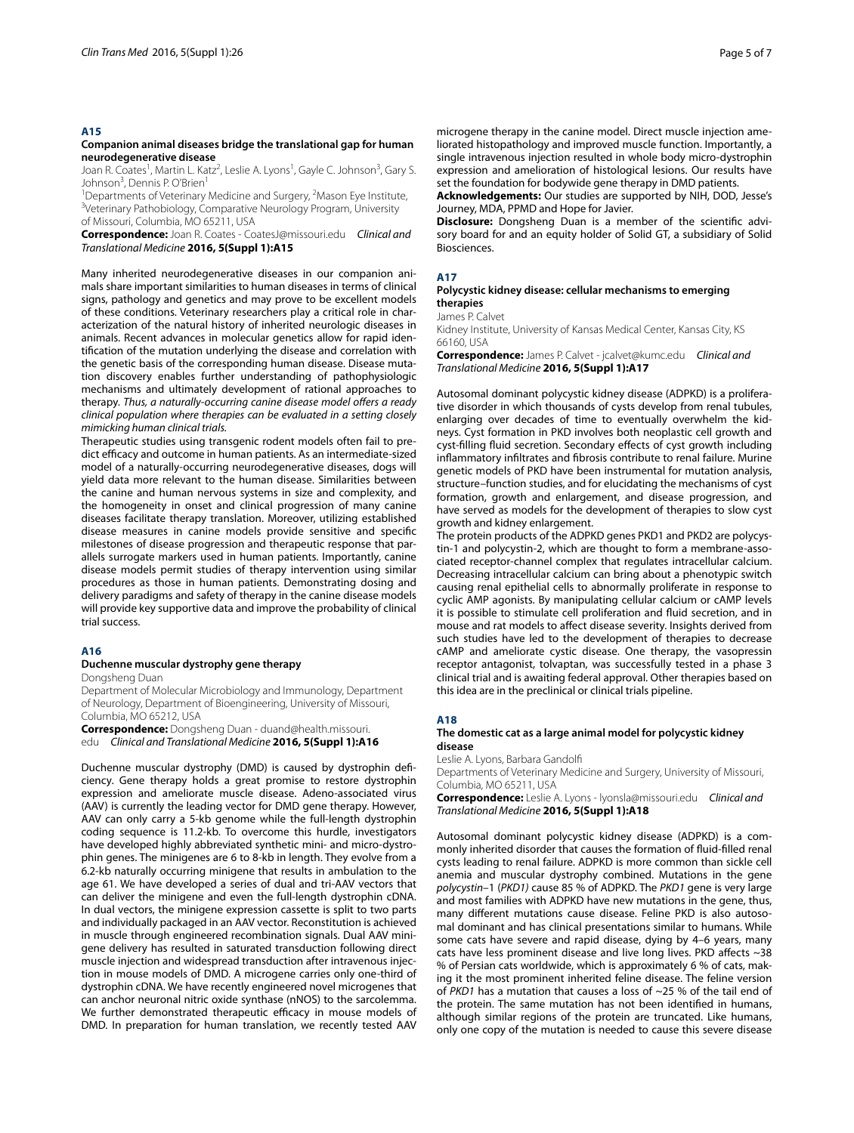## **A15**

## **Companion animal diseases bridge the translational gap for human neurodegenerative disease**

Joan R. Coates<sup>1</sup>, Martin L. Katz<sup>2</sup>, Leslie A. Lyons<sup>1</sup>, Gayle C. Johnson<sup>3</sup>, Gary S. Johnson<sup>3</sup>, Dennis P. O'Brien<sup>1</sup>

<sup>1</sup> Departments of Veterinary Medicine and Surgery, <sup>2</sup>Mason Eye Institute,<br><sup>3</sup>Veterinary Pathobiology, Comparative Neurology Program, University <sup>3</sup>Veterinary Pathobiology, Comparative Neurology Program, University of Missouri, Columbia, MO 65211, USA

**Correspondence:** Joan R. Coates ‑ CoatesJ@missouri.edu *Clinical and Translational Medicine* **2016, 5(Suppl 1):A15**

Many inherited neurodegenerative diseases in our companion animals share important similarities to human diseases in terms of clinical signs, pathology and genetics and may prove to be excellent models of these conditions. Veterinary researchers play a critical role in characterization of the natural history of inherited neurologic diseases in animals. Recent advances in molecular genetics allow for rapid identification of the mutation underlying the disease and correlation with the genetic basis of the corresponding human disease. Disease mutation discovery enables further understanding of pathophysiologic mechanisms and ultimately development of rational approaches to therapy. *Thus, a naturally*-*occurring canine disease model offers a ready clinical population where therapies can be evaluated in a setting closely mimicking human clinical trials.*

Therapeutic studies using transgenic rodent models often fail to predict efficacy and outcome in human patients. As an intermediate-sized model of a naturally-occurring neurodegenerative diseases, dogs will yield data more relevant to the human disease. Similarities between the canine and human nervous systems in size and complexity, and the homogeneity in onset and clinical progression of many canine diseases facilitate therapy translation. Moreover, utilizing established disease measures in canine models provide sensitive and specific milestones of disease progression and therapeutic response that parallels surrogate markers used in human patients. Importantly, canine disease models permit studies of therapy intervention using similar procedures as those in human patients. Demonstrating dosing and delivery paradigms and safety of therapy in the canine disease models will provide key supportive data and improve the probability of clinical trial success.

## **A16**

# **Duchenne muscular dystrophy gene therapy**

Dongsheng Duan

Department of Molecular Microbiology and Immunology, Department of Neurology, Department of Bioengineering, University of Missouri, Columbia, MO 65212, USA

**Correspondence:** Dongsheng Duan ‑ duand@health.missouri. edu *Clinical and Translational Medicine* **2016, 5(Suppl 1):A16**

Duchenne muscular dystrophy (DMD) is caused by dystrophin deficiency. Gene therapy holds a great promise to restore dystrophin expression and ameliorate muscle disease. Adeno-associated virus (AAV) is currently the leading vector for DMD gene therapy. However, AAV can only carry a 5-kb genome while the full-length dystrophin coding sequence is 11.2-kb. To overcome this hurdle, investigators have developed highly abbreviated synthetic mini- and micro-dystrophin genes. The minigenes are 6 to 8-kb in length. They evolve from a 6.2-kb naturally occurring minigene that results in ambulation to the age 61. We have developed a series of dual and tri-AAV vectors that can deliver the minigene and even the full-length dystrophin cDNA. In dual vectors, the minigene expression cassette is split to two parts and individually packaged in an AAV vector. Reconstitution is achieved in muscle through engineered recombination signals. Dual AAV minigene delivery has resulted in saturated transduction following direct muscle injection and widespread transduction after intravenous injection in mouse models of DMD. A microgene carries only one-third of dystrophin cDNA. We have recently engineered novel microgenes that can anchor neuronal nitric oxide synthase (nNOS) to the sarcolemma. We further demonstrated therapeutic efficacy in mouse models of DMD. In preparation for human translation, we recently tested AAV

microgene therapy in the canine model. Direct muscle injection ameliorated histopathology and improved muscle function. Importantly, a single intravenous injection resulted in whole body micro-dystrophin expression and amelioration of histological lesions. Our results have set the foundation for bodywide gene therapy in DMD patients.

**Acknowledgements:** Our studies are supported by NIH, DOD, Jesse's Journey, MDA, PPMD and Hope for Javier.

**Disclosure:** Dongsheng Duan is a member of the scientific advisory board for and an equity holder of Solid GT, a subsidiary of Solid Biosciences.

## **A17**

## **Polycystic kidney disease: cellular mechanisms to emerging therapies**

James P. Calvet

Kidney Institute, University of Kansas Medical Center, Kansas City, KS 66160, USA

**Correspondence:** James P. Calvet ‑ jcalvet@kumc.edu *Clinical and Translational Medicine* **2016, 5(Suppl 1):A17**

Autosomal dominant polycystic kidney disease (ADPKD) is a proliferative disorder in which thousands of cysts develop from renal tubules, enlarging over decades of time to eventually overwhelm the kidneys. Cyst formation in PKD involves both neoplastic cell growth and cyst-filling fluid secretion. Secondary effects of cyst growth including inflammatory infiltrates and fibrosis contribute to renal failure. Murine genetic models of PKD have been instrumental for mutation analysis, structure–function studies, and for elucidating the mechanisms of cyst formation, growth and enlargement, and disease progression, and have served as models for the development of therapies to slow cyst growth and kidney enlargement.

The protein products of the ADPKD genes PKD1 and PKD2 are polycystin-1 and polycystin-2, which are thought to form a membrane-associated receptor-channel complex that regulates intracellular calcium. Decreasing intracellular calcium can bring about a phenotypic switch causing renal epithelial cells to abnormally proliferate in response to cyclic AMP agonists. By manipulating cellular calcium or cAMP levels it is possible to stimulate cell proliferation and fluid secretion, and in mouse and rat models to affect disease severity. Insights derived from such studies have led to the development of therapies to decrease cAMP and ameliorate cystic disease. One therapy, the vasopressin receptor antagonist, tolvaptan, was successfully tested in a phase 3 clinical trial and is awaiting federal approval. Other therapies based on this idea are in the preclinical or clinical trials pipeline.

# **A18**

## **The domestic cat as a large animal model for polycystic kidney disease**

Leslie A. Lyons, Barbara Gandolfi

Departments of Veterinary Medicine and Surgery, University of Missouri, Columbia, MO 65211, USA

**Correspondence:** Leslie A. Lyons ‑ lyonsla@missouri.edu *Clinical and Translational Medicine* **2016, 5(Suppl 1):A18**

Autosomal dominant polycystic kidney disease (ADPKD) is a commonly inherited disorder that causes the formation of fluid-filled renal cysts leading to renal failure. ADPKD is more common than sickle cell anemia and muscular dystrophy combined. Mutations in the gene *polycystin*–1 (*PKD1)* cause 85 % of ADPKD. The *PKD1* gene is very large and most families with ADPKD have new mutations in the gene, thus, many different mutations cause disease. Feline PKD is also autosomal dominant and has clinical presentations similar to humans. While some cats have severe and rapid disease, dying by 4–6 years, many cats have less prominent disease and live long lives. PKD affects ~38 % of Persian cats worldwide, which is approximately 6 % of cats, making it the most prominent inherited feline disease. The feline version of *PKD1* has a mutation that causes a loss of ~25 % of the tail end of the protein. The same mutation has not been identified in humans, although similar regions of the protein are truncated. Like humans, only one copy of the mutation is needed to cause this severe disease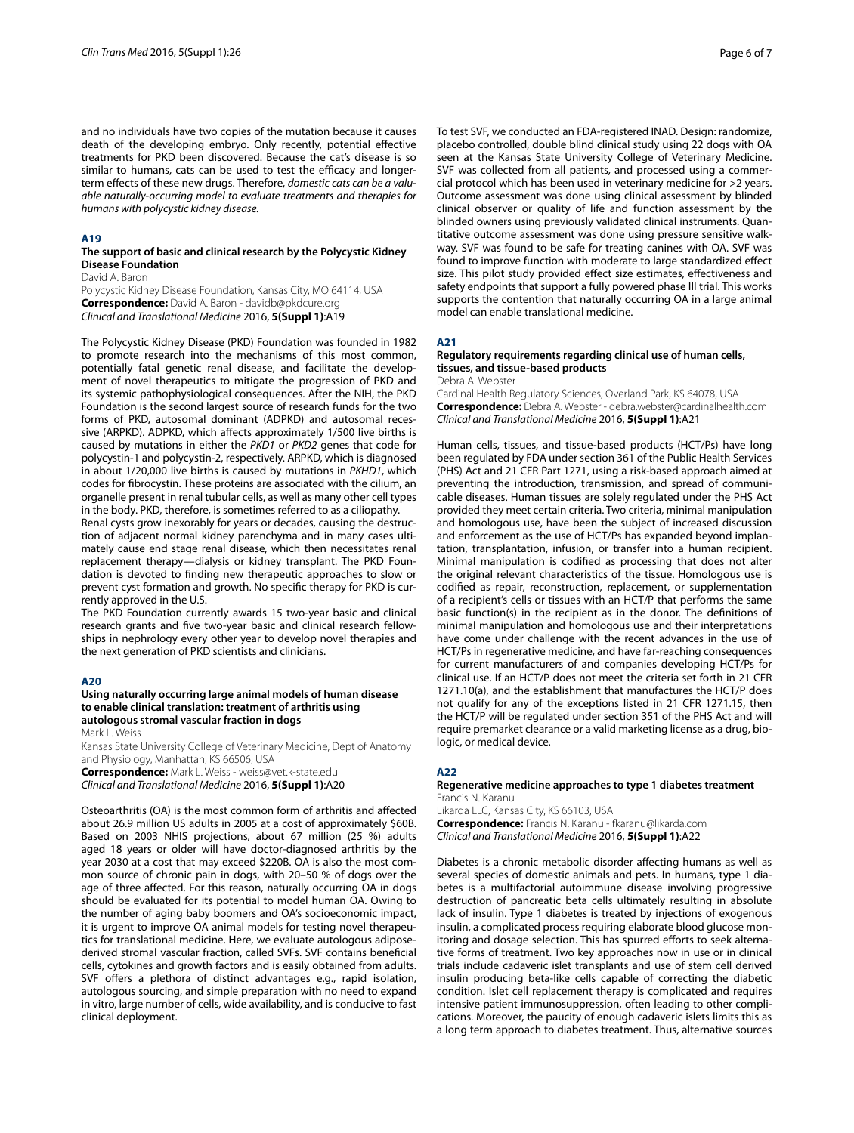and no individuals have two copies of the mutation because it causes death of the developing embryo. Only recently, potential effective treatments for PKD been discovered. Because the cat's disease is so similar to humans, cats can be used to test the efficacy and longerterm effects of these new drugs. Therefore, *domestic cats can be a valuable naturally*-*occurring model to evaluate treatments and therapies for humans with polycystic kidney disease.*

## **A19**

## **The support of basic and clinical research by the Polycystic Kidney Disease Foundation**

David A. Baron

Polycystic Kidney Disease Foundation, Kansas City, MO 64114, USA **Correspondence:** David A. Baron ‑ davidb@pkdcure.org *Clinical and Translational Medicine* 2016, **5(Suppl 1)**:A19

The Polycystic Kidney Disease (PKD) Foundation was founded in 1982 to promote research into the mechanisms of this most common, potentially fatal genetic renal disease, and facilitate the development of novel therapeutics to mitigate the progression of PKD and its systemic pathophysiological consequences. After the NIH, the PKD Foundation is the second largest source of research funds for the two forms of PKD, autosomal dominant (ADPKD) and autosomal recessive (ARPKD). ADPKD, which affects approximately 1/500 live births is caused by mutations in either the *PKD1* or *PKD2* genes that code for polycystin-1 and polycystin-2, respectively. ARPKD, which is diagnosed in about 1/20,000 live births is caused by mutations in *PKHD1*, which codes for fibrocystin. These proteins are associated with the cilium, an organelle present in renal tubular cells, as well as many other cell types in the body. PKD, therefore, is sometimes referred to as a ciliopathy.

Renal cysts grow inexorably for years or decades, causing the destruction of adjacent normal kidney parenchyma and in many cases ultimately cause end stage renal disease, which then necessitates renal replacement therapy—dialysis or kidney transplant. The PKD Foundation is devoted to finding new therapeutic approaches to slow or prevent cyst formation and growth. No specific therapy for PKD is currently approved in the U.S.

The PKD Foundation currently awards 15 two-year basic and clinical research grants and five two-year basic and clinical research fellowships in nephrology every other year to develop novel therapies and the next generation of PKD scientists and clinicians.

# **A20**

## **Using naturally occurring large animal models of human disease to enable clinical translation: treatment of arthritis using autologous stromal vascular fraction in dogs**

Mark L. Weiss

Kansas State University College of Veterinary Medicine, Dept of Anatomy and Physiology, Manhattan, KS 66506, USA **Correspondence:** Mark L. Weiss ‑ weiss@vet.k‑state.edu *Clinical and Translational Medicine* 2016, **5(Suppl 1)**:A20

Osteoarthritis (OA) is the most common form of arthritis and affected about 26.9 million US adults in 2005 at a cost of approximately \$60B. Based on 2003 NHIS projections, about 67 million (25 %) adults aged 18 years or older will have doctor-diagnosed arthritis by the year 2030 at a cost that may exceed \$220B. OA is also the most common source of chronic pain in dogs, with 20–50 % of dogs over the age of three affected. For this reason, naturally occurring OA in dogs should be evaluated for its potential to model human OA. Owing to the number of aging baby boomers and OA's socioeconomic impact, it is urgent to improve OA animal models for testing novel therapeutics for translational medicine. Here, we evaluate autologous adiposederived stromal vascular fraction, called SVFs. SVF contains beneficial cells, cytokines and growth factors and is easily obtained from adults. SVF offers a plethora of distinct advantages e.g., rapid isolation, autologous sourcing, and simple preparation with no need to expand in vitro, large number of cells, wide availability, and is conducive to fast clinical deployment.

To test SVF, we conducted an FDA-registered INAD. Design: randomize, placebo controlled, double blind clinical study using 22 dogs with OA seen at the Kansas State University College of Veterinary Medicine. SVF was collected from all patients, and processed using a commercial protocol which has been used in veterinary medicine for >2 years. Outcome assessment was done using clinical assessment by blinded clinical observer or quality of life and function assessment by the blinded owners using previously validated clinical instruments. Quantitative outcome assessment was done using pressure sensitive walkway. SVF was found to be safe for treating canines with OA. SVF was found to improve function with moderate to large standardized effect size. This pilot study provided effect size estimates, effectiveness and safety endpoints that support a fully powered phase III trial. This works supports the contention that naturally occurring OA in a large animal model can enable translational medicine.

## **A21**

# **Regulatory requirements regarding clinical use of human cells, tissues, and tissue‑based products**

Debra A. Webster

Cardinal Health Regulatory Sciences, Overland Park, KS 64078, USA **Correspondence:** Debra A. Webster ‑ debra.webster@cardinalhealth.com *Clinical and Translational Medicine* 2016, **5(Suppl 1)**:A21

Human cells, tissues, and tissue-based products (HCT/Ps) have long been regulated by FDA under section 361 of the Public Health Services (PHS) Act and 21 CFR Part 1271, using a risk-based approach aimed at preventing the introduction, transmission, and spread of communicable diseases. Human tissues are solely regulated under the PHS Act provided they meet certain criteria. Two criteria, minimal manipulation and homologous use, have been the subject of increased discussion and enforcement as the use of HCT/Ps has expanded beyond implantation, transplantation, infusion, or transfer into a human recipient. Minimal manipulation is codified as processing that does not alter the original relevant characteristics of the tissue. Homologous use is codified as repair, reconstruction, replacement, or supplementation of a recipient's cells or tissues with an HCT/P that performs the same basic function(s) in the recipient as in the donor. The definitions of minimal manipulation and homologous use and their interpretations have come under challenge with the recent advances in the use of HCT/Ps in regenerative medicine, and have far-reaching consequences for current manufacturers of and companies developing HCT/Ps for clinical use. If an HCT/P does not meet the criteria set forth in 21 CFR 1271.10(a), and the establishment that manufactures the HCT/P does not qualify for any of the exceptions listed in 21 CFR 1271.15, then the HCT/P will be regulated under section 351 of the PHS Act and will require premarket clearance or a valid marketing license as a drug, biologic, or medical device.

# **A22**

### **Regenerative medicine approaches to type 1 diabetes treatment** Francis N. Karanu

Likarda LLC, Kansas City, KS 66103, USA **Correspondence:** Francis N. Karanu ‑ fkaranu@likarda.com *Clinical and Translational Medicine* 2016, **5(Suppl 1)**:A22

Diabetes is a chronic metabolic disorder affecting humans as well as several species of domestic animals and pets. In humans, type 1 diabetes is a multifactorial autoimmune disease involving progressive destruction of pancreatic beta cells ultimately resulting in absolute lack of insulin. Type 1 diabetes is treated by injections of exogenous insulin, a complicated process requiring elaborate blood glucose monitoring and dosage selection. This has spurred efforts to seek alternative forms of treatment. Two key approaches now in use or in clinical trials include cadaveric islet transplants and use of stem cell derived insulin producing beta-like cells capable of correcting the diabetic condition. Islet cell replacement therapy is complicated and requires intensive patient immunosuppression, often leading to other complications. Moreover, the paucity of enough cadaveric islets limits this as a long term approach to diabetes treatment. Thus, alternative sources